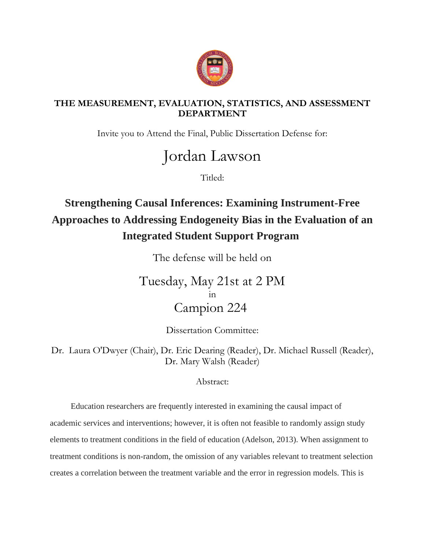

## **THE MEASUREMENT, EVALUATION, STATISTICS, AND ASSESSMENT DEPARTMENT**

Invite you to Attend the Final, Public Dissertation Defense for:

## Jordan Lawson

Titled:

## **Strengthening Causal Inferences: Examining Instrument-Free Approaches to Addressing Endogeneity Bias in the Evaluation of an Integrated Student Support Program**

The defense will be held on

Tuesday, May 21st at 2 PM in Campion 224

Dissertation Committee:

Dr. Laura O'Dwyer (Chair), Dr. Eric Dearing (Reader), Dr. Michael Russell (Reader), Dr. Mary Walsh (Reader)

Abstract:

 Education researchers are frequently interested in examining the causal impact of academic services and interventions; however, it is often not feasible to randomly assign study elements to treatment conditions in the field of education (Adelson, 2013). When assignment to treatment conditions is non-random, the omission of any variables relevant to treatment selection creates a correlation between the treatment variable and the error in regression models. This is